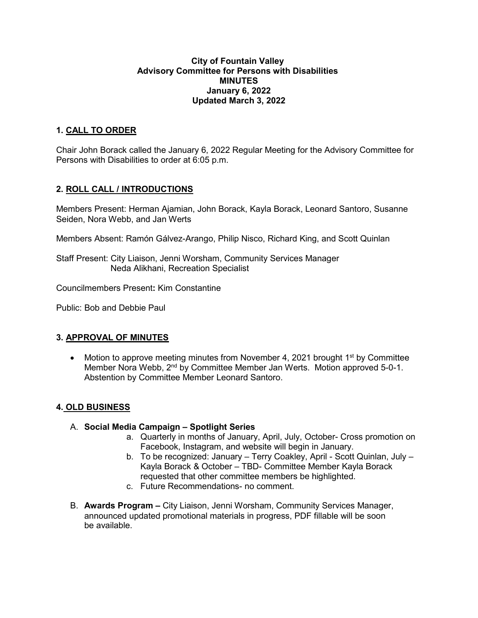#### **City of Fountain Valley Advisory Committee for Persons with Disabilities MINUTES January 6, 2022 Updated March 3, 2022**

## **1. CALL TO ORDER**

Chair John Borack called the January 6, 2022 Regular Meeting for the Advisory Committee for Persons with Disabilities to order at 6:05 p.m.

### **2. ROLL CALL / INTRODUCTIONS**

Members Present: Herman Ajamian, John Borack, Kayla Borack, Leonard Santoro, Susanne Seiden, Nora Webb, and Jan Werts

Members Absent: Ramón Gálvez-Arango, Philip Nisco, Richard King, and Scott Quinlan

Staff Present: City Liaison, Jenni Worsham, Community Services Manager Neda Alikhani, Recreation Specialist

Councilmembers Present**:** Kim Constantine

Public: Bob and Debbie Paul

#### **3. APPROVAL OF MINUTES**

• Motion to approve meeting minutes from November 4, 2021 brought  $1<sup>st</sup>$  by Committee Member Nora Webb, 2<sup>nd</sup> by Committee Member Jan Werts. Motion approved 5-0-1. Abstention by Committee Member Leonard Santoro.

#### **4. OLD BUSINESS**

- A. **Social Media Campaign – Spotlight Series** 
	- a. Quarterly in months of January, April, July, October- Cross promotion on Facebook, Instagram, and website will begin in January.
	- b. To be recognized: January Terry Coakley, April Scott Quinlan, July Kayla Borack & October – TBD- Committee Member Kayla Borack requested that other committee members be highlighted.
	- c. Future Recommendations- no comment.
- B. **Awards Program –** City Liaison, Jenni Worsham, Community Services Manager, announced updated promotional materials in progress, PDF fillable will be soon be available.